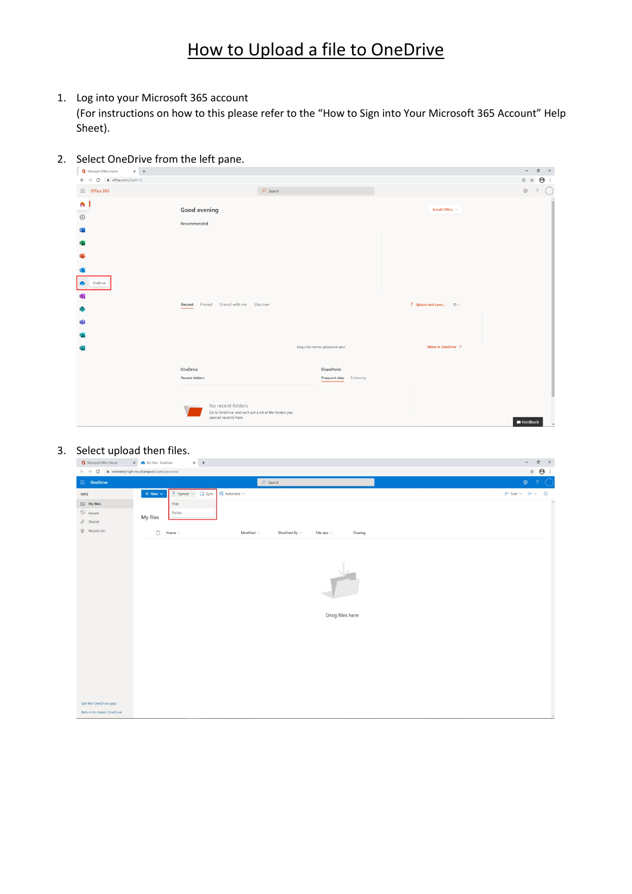# How to Upload a file to OneDrive

1. Log into your Microsoft 365 account

(For instructions on how to this please refer to the "How to Sign into Your Microsoft 365 Account" Help Sheet).

#### 2. Select OneDrive from the left pane.

| Microsoft Office Home<br>$\times$ +                                          |                                                                                                                                                                               | $\sigma$ $\times$<br>$\sim$        |
|------------------------------------------------------------------------------|-------------------------------------------------------------------------------------------------------------------------------------------------------------------------------|------------------------------------|
| $\leftarrow$ $\rightarrow$ C a office.com/?auth=2                            |                                                                                                                                                                               | $\Theta$ :<br>⊙ ☆                  |
| $\frac{111}{211}$ Office 365                                                 | $O$ Search                                                                                                                                                                    | <b>®</b><br>$\circ$                |
| n l<br>$\hspace{.1cm} \oplus$<br><b>Q</b><br>x.<br>œ<br>o.<br>Γ.<br>OneDrive | Good evening<br>Install Office $\vee$<br>Recommended                                                                                                                          |                                    |
| <b>Q</b> :<br>G)<br>囁<br>5                                                   | $\bar{\uparrow}$ Upload and open $\equiv \bar{\downarrow}$<br>Recent Pinned Shared with me Discover<br>More in OneDrive $\rightarrow$<br>Drag a file here to upload and open  |                                    |
|                                                                              | SharePoint<br>OneDrive<br>Recent folders<br>Frequent sites Following<br>No recent folders<br>Go to OneDrive, and we'll put a list of the folders you<br>opened recently here. | $\blacksquare$ Feedback<br>$\cdot$ |

#### 3. Select upload then files.

| ☆ →<br>$\leftarrow$ $\rightarrow$ $\mathbf{C}$ $\bullet$ wetherbyhigh-my.sharepoint.com/personal<br>$O$ Search<br>$\otimes$ ?<br>: OneDrive<br>$+$ New $\vee$<br>不 Upload v G Sync<br>$\frac{68}{28}$ Automate $\sim$<br>$\mathsf{I}^{\mathsf{F}}$ Sort $\vee$ $\equiv$ $\vee$ $\odot$<br>WHS<br>$\Box$ My files<br>Files<br>$\odot$ Recent<br>Folder<br>My files<br>$g^R$ Shared<br>Recycle bin<br>$\Box$ Name $\vee$<br>Modified $\vee$<br>Modified By $\vee$<br>Sharing<br>File size<br>Drag files here<br>Get the OneDrive apps<br>Return to classic OneDrive | Microsoft Office Home | $x +$<br>X My files - OneDrive | $\sigma$ $\times$<br>$\sim$ |
|-------------------------------------------------------------------------------------------------------------------------------------------------------------------------------------------------------------------------------------------------------------------------------------------------------------------------------------------------------------------------------------------------------------------------------------------------------------------------------------------------------------------------------------------------------------------|-----------------------|--------------------------------|-----------------------------|
|                                                                                                                                                                                                                                                                                                                                                                                                                                                                                                                                                                   |                       |                                |                             |
|                                                                                                                                                                                                                                                                                                                                                                                                                                                                                                                                                                   |                       |                                |                             |
|                                                                                                                                                                                                                                                                                                                                                                                                                                                                                                                                                                   |                       |                                |                             |
|                                                                                                                                                                                                                                                                                                                                                                                                                                                                                                                                                                   |                       |                                |                             |
|                                                                                                                                                                                                                                                                                                                                                                                                                                                                                                                                                                   |                       |                                |                             |
|                                                                                                                                                                                                                                                                                                                                                                                                                                                                                                                                                                   |                       |                                |                             |
|                                                                                                                                                                                                                                                                                                                                                                                                                                                                                                                                                                   |                       |                                |                             |
|                                                                                                                                                                                                                                                                                                                                                                                                                                                                                                                                                                   |                       |                                |                             |
|                                                                                                                                                                                                                                                                                                                                                                                                                                                                                                                                                                   |                       |                                |                             |
|                                                                                                                                                                                                                                                                                                                                                                                                                                                                                                                                                                   |                       |                                |                             |
|                                                                                                                                                                                                                                                                                                                                                                                                                                                                                                                                                                   |                       |                                |                             |
|                                                                                                                                                                                                                                                                                                                                                                                                                                                                                                                                                                   |                       |                                |                             |
|                                                                                                                                                                                                                                                                                                                                                                                                                                                                                                                                                                   |                       |                                |                             |
|                                                                                                                                                                                                                                                                                                                                                                                                                                                                                                                                                                   |                       |                                |                             |
|                                                                                                                                                                                                                                                                                                                                                                                                                                                                                                                                                                   |                       |                                |                             |
|                                                                                                                                                                                                                                                                                                                                                                                                                                                                                                                                                                   |                       |                                |                             |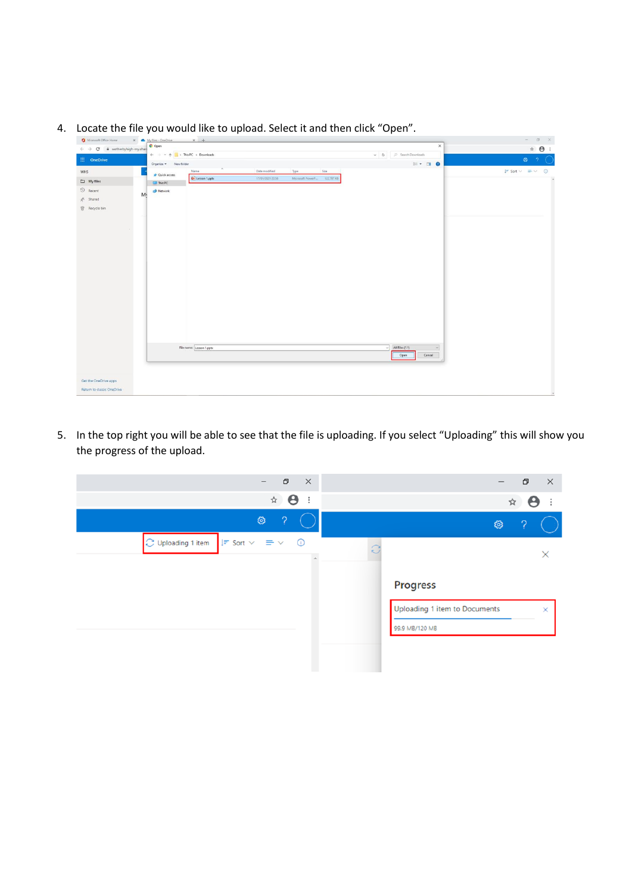|                                                      | C Open                                                                                  |                          |                  |                             |                                             | $\times$                        |                                                                                                                                                                                                                                                                                                                                                     |
|------------------------------------------------------|-----------------------------------------------------------------------------------------|--------------------------|------------------|-----------------------------|---------------------------------------------|---------------------------------|-----------------------------------------------------------------------------------------------------------------------------------------------------------------------------------------------------------------------------------------------------------------------------------------------------------------------------------------------------|
| $\leftarrow$ $\rightarrow$ C & wetherbyhigh-my.shari |                                                                                         |                          |                  |                             |                                             |                                 | $\begin{picture}(20,20) \put(0,0){\line(1,0){10}} \put(15,0){\line(1,0){10}} \put(15,0){\line(1,0){10}} \put(15,0){\line(1,0){10}} \put(15,0){\line(1,0){10}} \put(15,0){\line(1,0){10}} \put(15,0){\line(1,0){10}} \put(15,0){\line(1,0){10}} \put(15,0){\line(1,0){10}} \put(15,0){\line(1,0){10}} \put(15,0){\line(1,0){10}} \put(15,0){\line(1$ |
| <b>III</b> OneDrive                                  | $\leftarrow$ $\rightarrow$ $\sim$ $\uparrow$ $\qquad$ > This PC $\rightarrow$ Downloads |                          |                  |                             | $\smile$ $\smile$ $\smile$ Search Downloads |                                 | ◎ ?                                                                                                                                                                                                                                                                                                                                                 |
|                                                      | Organize - New folder                                                                   |                          |                  |                             |                                             | $\mathbb{R}$ . $\blacksquare$ 0 |                                                                                                                                                                                                                                                                                                                                                     |
| WHS                                                  | <b>A</b> Quick access                                                                   | Name                     | Date modified    | Size<br>Type                |                                             |                                 | $IF$ Sort $\vee$ $\equiv$ $\vee$ 0                                                                                                                                                                                                                                                                                                                  |
| $My$ files                                           | This PC                                                                                 | D. Lesson 1.pptx         | 17/01/2021 22:58 | Microsoft PowerP 122,787 KB |                                             |                                 |                                                                                                                                                                                                                                                                                                                                                     |
| $\odot$ Recent                                       | Network                                                                                 |                          |                  |                             |                                             |                                 |                                                                                                                                                                                                                                                                                                                                                     |
|                                                      | Mi                                                                                      |                          |                  |                             |                                             |                                 |                                                                                                                                                                                                                                                                                                                                                     |
| $g^R$ Shared                                         |                                                                                         |                          |                  |                             |                                             |                                 |                                                                                                                                                                                                                                                                                                                                                     |
| Recycle bin                                          |                                                                                         |                          |                  |                             |                                             |                                 |                                                                                                                                                                                                                                                                                                                                                     |
|                                                      |                                                                                         |                          |                  |                             |                                             |                                 |                                                                                                                                                                                                                                                                                                                                                     |
|                                                      |                                                                                         |                          |                  |                             |                                             |                                 |                                                                                                                                                                                                                                                                                                                                                     |
|                                                      |                                                                                         |                          |                  |                             |                                             |                                 |                                                                                                                                                                                                                                                                                                                                                     |
|                                                      |                                                                                         |                          |                  |                             |                                             |                                 |                                                                                                                                                                                                                                                                                                                                                     |
|                                                      |                                                                                         |                          |                  |                             |                                             |                                 |                                                                                                                                                                                                                                                                                                                                                     |
|                                                      |                                                                                         |                          |                  |                             |                                             |                                 |                                                                                                                                                                                                                                                                                                                                                     |
|                                                      |                                                                                         |                          |                  |                             |                                             |                                 |                                                                                                                                                                                                                                                                                                                                                     |
|                                                      |                                                                                         |                          |                  |                             |                                             |                                 |                                                                                                                                                                                                                                                                                                                                                     |
|                                                      |                                                                                         |                          |                  |                             |                                             |                                 |                                                                                                                                                                                                                                                                                                                                                     |
|                                                      |                                                                                         |                          |                  |                             |                                             |                                 |                                                                                                                                                                                                                                                                                                                                                     |
|                                                      |                                                                                         |                          |                  |                             |                                             |                                 |                                                                                                                                                                                                                                                                                                                                                     |
|                                                      |                                                                                         |                          |                  |                             |                                             |                                 |                                                                                                                                                                                                                                                                                                                                                     |
|                                                      |                                                                                         |                          |                  |                             |                                             |                                 |                                                                                                                                                                                                                                                                                                                                                     |
|                                                      |                                                                                         |                          |                  |                             |                                             |                                 |                                                                                                                                                                                                                                                                                                                                                     |
|                                                      |                                                                                         |                          |                  |                             |                                             |                                 |                                                                                                                                                                                                                                                                                                                                                     |
|                                                      |                                                                                         |                          |                  |                             |                                             |                                 |                                                                                                                                                                                                                                                                                                                                                     |
|                                                      |                                                                                         |                          |                  |                             |                                             |                                 |                                                                                                                                                                                                                                                                                                                                                     |
|                                                      |                                                                                         |                          |                  |                             |                                             |                                 |                                                                                                                                                                                                                                                                                                                                                     |
|                                                      |                                                                                         |                          |                  |                             |                                             |                                 |                                                                                                                                                                                                                                                                                                                                                     |
|                                                      |                                                                                         |                          |                  |                             |                                             |                                 |                                                                                                                                                                                                                                                                                                                                                     |
|                                                      |                                                                                         |                          |                  |                             |                                             |                                 |                                                                                                                                                                                                                                                                                                                                                     |
|                                                      |                                                                                         |                          |                  |                             |                                             |                                 |                                                                                                                                                                                                                                                                                                                                                     |
|                                                      |                                                                                         |                          |                  |                             |                                             |                                 |                                                                                                                                                                                                                                                                                                                                                     |
|                                                      |                                                                                         |                          |                  |                             |                                             |                                 |                                                                                                                                                                                                                                                                                                                                                     |
|                                                      |                                                                                         |                          |                  |                             |                                             |                                 |                                                                                                                                                                                                                                                                                                                                                     |
|                                                      |                                                                                         |                          |                  |                             |                                             |                                 |                                                                                                                                                                                                                                                                                                                                                     |
|                                                      |                                                                                         |                          |                  |                             |                                             |                                 |                                                                                                                                                                                                                                                                                                                                                     |
|                                                      |                                                                                         | File name: Lesson 1.pptx |                  |                             | All Files (".")<br>$\vee$                   | $\check{~}$                     |                                                                                                                                                                                                                                                                                                                                                     |
|                                                      |                                                                                         |                          |                  |                             |                                             |                                 |                                                                                                                                                                                                                                                                                                                                                     |
|                                                      |                                                                                         |                          |                  |                             | Open                                        | Cancel                          |                                                                                                                                                                                                                                                                                                                                                     |
|                                                      |                                                                                         |                          |                  |                             |                                             |                                 |                                                                                                                                                                                                                                                                                                                                                     |
|                                                      |                                                                                         |                          |                  |                             |                                             |                                 |                                                                                                                                                                                                                                                                                                                                                     |
|                                                      |                                                                                         |                          |                  |                             |                                             |                                 |                                                                                                                                                                                                                                                                                                                                                     |
|                                                      |                                                                                         |                          |                  |                             |                                             |                                 |                                                                                                                                                                                                                                                                                                                                                     |
| Get the OneDrive apps                                |                                                                                         |                          |                  |                             |                                             |                                 |                                                                                                                                                                                                                                                                                                                                                     |

4. Locate the file you would like to upload. Select it and then click "Open".

5. In the top right you will be able to see that the file is uploading. If you select "Uploading" this will show you the progress of the upload.

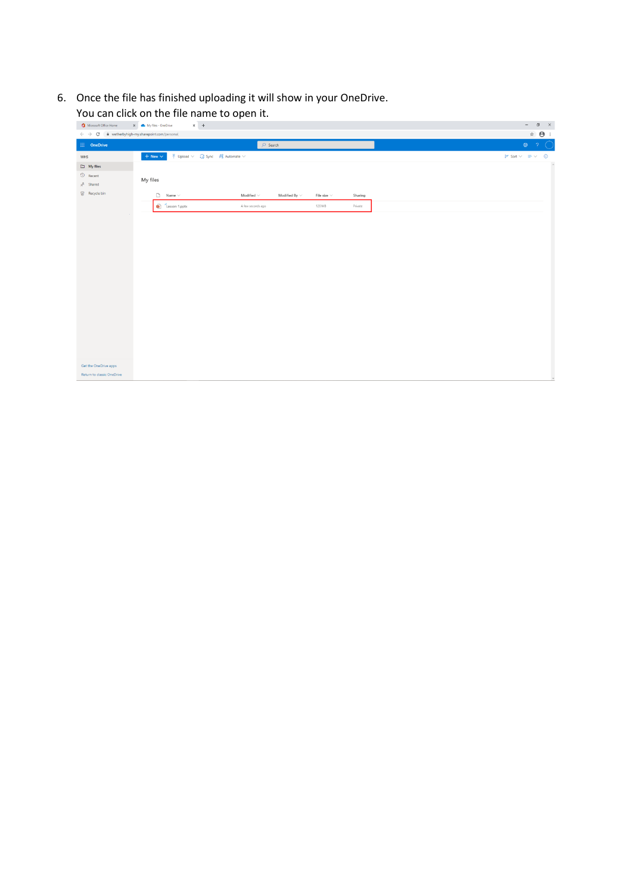6. Once the file has finished uploading it will show in your OneDrive.

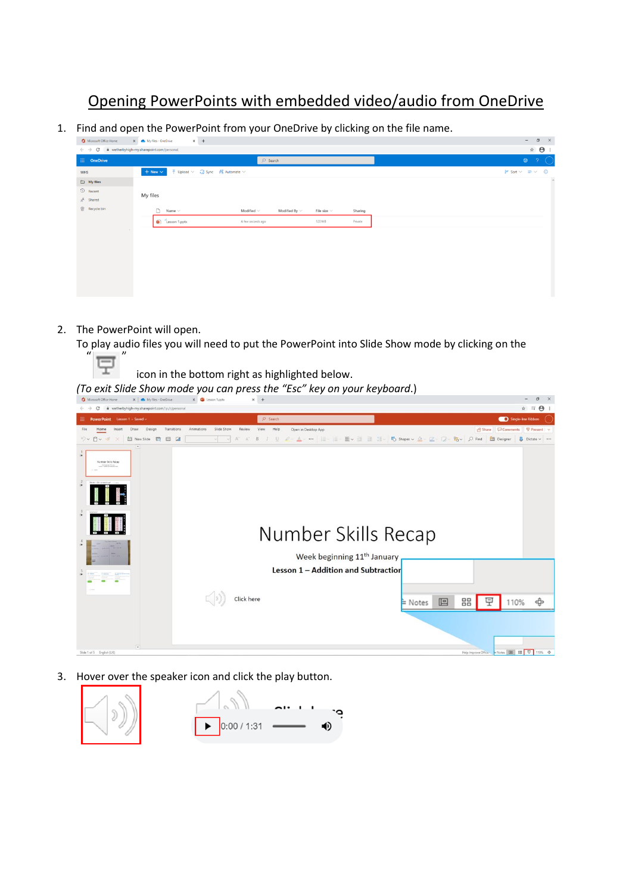### Opening PowerPoints with embedded video/audio from OneDrive

1. Find and open the PowerPoint from your OneDrive by clicking on the file name.

| Microsoft Office Home                                                             | $\times$ +<br>X My files - OneDrive                                                                                  |
|-----------------------------------------------------------------------------------|----------------------------------------------------------------------------------------------------------------------|
| $\leftarrow$ $\rightarrow$ $\mathbf{C}$ a wetherbyhigh-my.sharepoint.com/personal |                                                                                                                      |
| $\overline{\mathbf{H}}$ OneDrive                                                  | $O$ Search                                                                                                           |
| WHS                                                                               | $\overline{\uparrow}$ Upload $\vee$ $\overline{\downarrow}$ Sync $\mathscr{F}_8^p$ Automate $\vee$<br>$+$ New $\vee$ |
| $\Box$ My files                                                                   |                                                                                                                      |
| $\circled{1}$ Recent                                                              | My files                                                                                                             |
| $g^R$ Shared                                                                      |                                                                                                                      |
| Recycle bin                                                                       | $\Box$ Name $\vee$<br>Modified $\smallsmile$<br>Modified By $\vee$<br>File size $\vee$<br>Sharing                    |
|                                                                                   | Lesson 1.pptx<br>A few seconds ago<br>120 MB<br>Private                                                              |
|                                                                                   |                                                                                                                      |
|                                                                                   |                                                                                                                      |
|                                                                                   |                                                                                                                      |
|                                                                                   |                                                                                                                      |
|                                                                                   |                                                                                                                      |
|                                                                                   |                                                                                                                      |
|                                                                                   |                                                                                                                      |

2. The PowerPoint will open.

To play audio files you will need to put the PowerPoint into Slide Show mode by clicking on the

 $\overline{a}$   $\overline{v}$ 

icon in the bottom right as highlighted below.

*(To exit Slide Show mode you can press the "Esc" key on your keyboard*.)

| C<br>@ wetherbyhigh-my.sharepoint.com/:p:/r/personal                                  |                                         | ☆ ■ → →                                                                                     |
|---------------------------------------------------------------------------------------|-----------------------------------------|---------------------------------------------------------------------------------------------|
| 田.<br>PowerPoint Lesson 1 - Saved v                                                   | $O$ Search                              | Single-line Ribbon                                                                          |
| Slide Show<br>Review<br>Insert<br>Design<br>Transitions<br>Animations<br>Home<br>Draw | Help<br>Open in Desktop App<br>View     | □ Share □ Comments 早 Present →                                                              |
| <b>上 New Slide</b><br>$\mathbb{A}^*$<br>$9 - 9 - 5$<br>田口<br>A<br>$\times$            | B                                       | U 2 △ △ … 三 三 三 三 三 三 三 三 三 三 三 Do Shapes v 소 고 그 명 > 이 Find _ Ell Designer _ 8 Dictate v … |
| $\left  \cdot \right $<br>谏<br>Number Skills Recap                                    |                                         |                                                                                             |
| 法                                                                                     |                                         |                                                                                             |
| $\rightarrow$                                                                         | Number Skills Recap                     |                                                                                             |
| 法                                                                                     | Week beginning 11 <sup>th</sup> January |                                                                                             |
|                                                                                       | Lesson 1 - Addition and Subtractior     |                                                                                             |
|                                                                                       |                                         |                                                                                             |
| Click here                                                                            |                                         | 모<br>٠ĝ<br>88<br>e<br>110%<br>$\approx$ Notes                                               |
|                                                                                       |                                         |                                                                                             |
| $\sim$<br>Slide 1 of 5 English (UK)                                                   |                                         | Help Improve Office: 4 Notes   88   97   110% <                                             |

3. Hover over the speaker icon and click the play button.

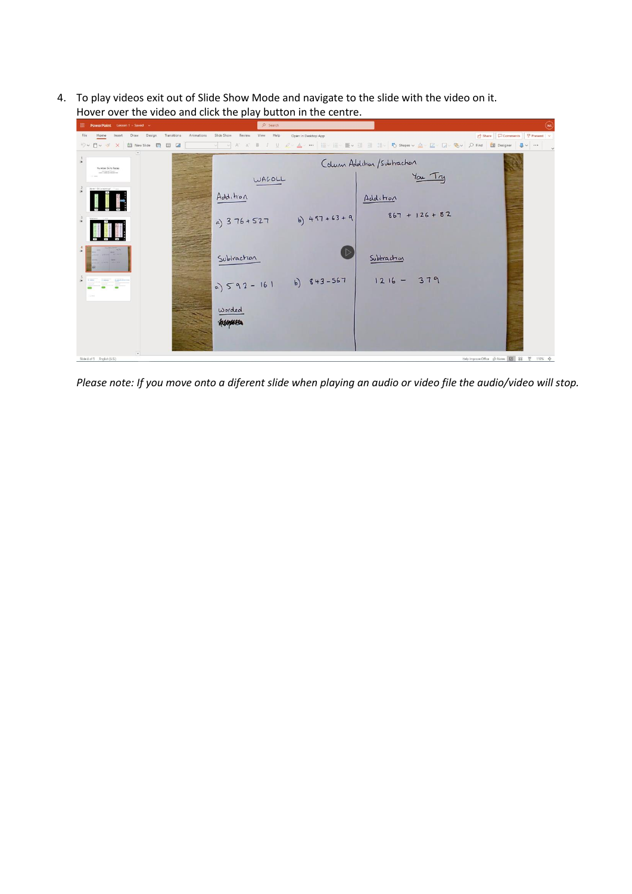4. To play videos exit out of Slide Show Mode and navigate to the slide with the video on it. Hover over the video and click the play button in the centre.



*Please note: If you move onto a diferent slide when playing an audio or video file the audio/video will stop.*